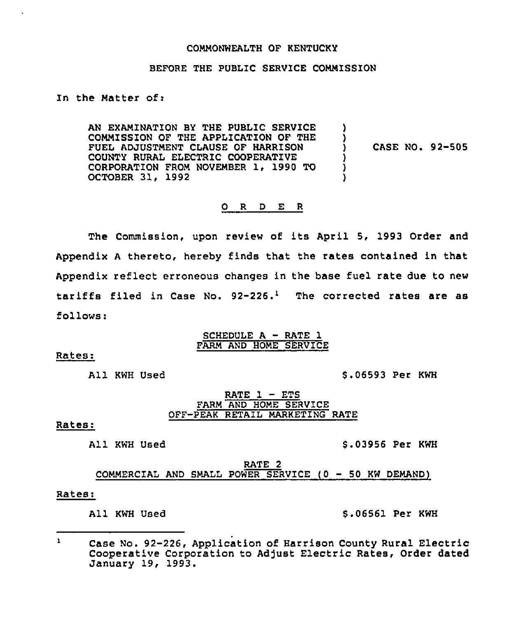#### COMMONWEALTH OF KENTUCKY

### BEFORE THE PUBLIC SERVICE COMMISSION

### In the Matter of:

AN EXAMINATION BY THE PUBLIC SERVICE COMMISSION OF THE APPLICATION OF THE FUEL ADJUSTMENT CLAUSE OF HARRISON COUNTY RURAL ELECTRIC COOPERATIVE CORPORATION FROM NOVEMBER 1, 1990 TO OCTOBER 31, 1992 ) ) ) CASE NO. 92-505 ) ) )

# 0 <sup>R</sup> <sup>D</sup> E <sup>R</sup>

The Commission, upon review of its April 5, 1993 Order and Appendix <sup>A</sup> thereto, hereby finds that the rates contained in that Appendix reflect erroneous changes in the base fuel rate due to new tariffs filed in Case No.  $92-226$ .<sup>1</sup> The corrected rates are as follows:

# SCHEDULE A - RATE 1 FARM AND HOME SERVICE

Rates:

All KWH Used

\$ .06593 Per KWH

## RATE  $1 - ETS$ FARM AND HOME SERVICE OFF-PEAK RETAIL MARKETING RATE

#### Rates:

All KWH Used

\$ .03956 Per KWH

RATE 2 COMMERCIAL AND SMALL POWER SERVICE (0 — 50 KW DEMAND)

#### Rates:

All KWH Used \$.06561 Per KWH

 $\mathbf{1}$ Case No. 92-226, Application of Harrison County Rural Electric Cooperative Corporation to Adjust Electric Rates, Order dated January 19, 1993.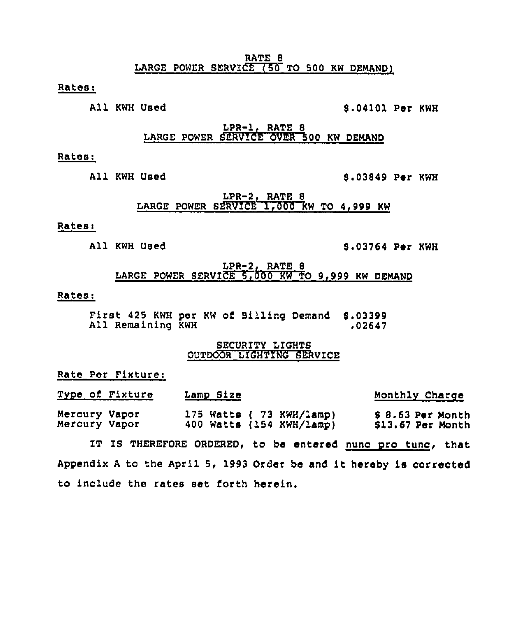RATE 8 LARGE POWER SERVICE  $(50$  TO 500 KW DEMAND)

Ratesi

All KWH Used S.04101 Per KWH

 $LPR-1, RATE 8$ LARGE POWER SERVICE OVER 500 KW DEMAND

#### Rates:

# All KWH Used 8.03849 Per KWH

LPR-2, RATE 8 LARGE POWER SERVICE 1,000 KW TO 4,999 KW

# Rates:

## All KWH Used S.03764 Per KWH

LPR-2, RATE 8 LARGE POWER SERVICE 5,000 KW TO 9,999 KW DEMAND

### Rates:

First 425 KWH per KW of Billing Demand 8.03399 All Remaining KWH

### SECURITY LIGHTS OUTDOOR LIGHTING SERVICE

Rate Per Fixture:

| Type of Fixture                | Lamp Size |                                                      | Monthly Charge                        |
|--------------------------------|-----------|------------------------------------------------------|---------------------------------------|
| Mercury Vapor<br>Mercury Vapor |           | 175 Watts ( 73 KWH/lamp)<br>400 Watts (154 KWH/lamp) | \$8.63 Per Month<br>\$13.67 Per Month |

IT IS THEREFORE ORDERED, to be entered nunc pro tunc, that Appendix <sup>A</sup> to the April 5, 1993 Order be and it hereby is corrected to include the rates set forth herein.